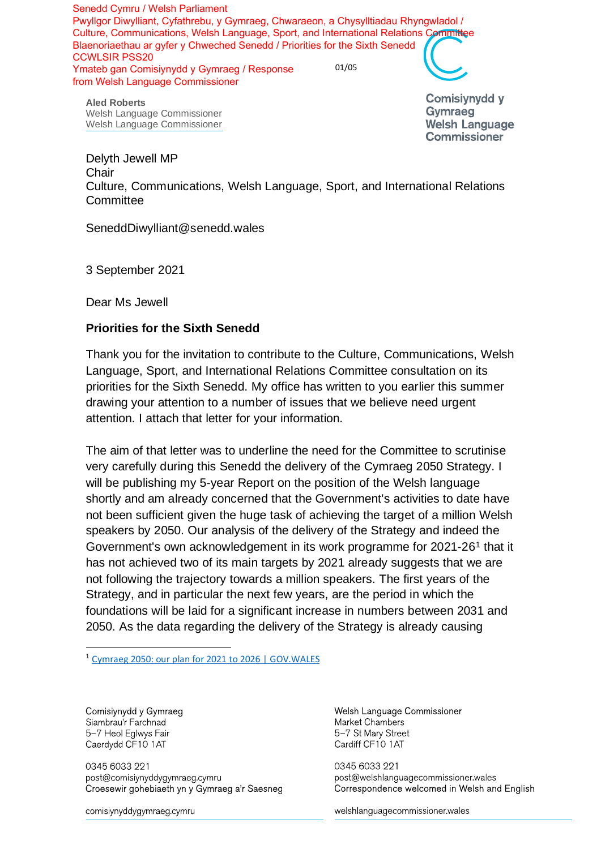01/05 Senedd Cymru / Welsh Parliament Pwyllgor Diwylliant, Cyfathrebu, y Gymraeg, Chwaraeon, a Chysylltiadau Rhyngwladol / Culture, Communications, Welsh Language, Sport, and International Relations Committee Blaenoriaethau ar gyfer y Chweched Senedd / Priorities for the Sixth Senedd CCWLSIR PSS20 Ymateb gan Comisiynydd y Gymraeg / Response from Welsh Language Commissioner

**Aled Roberts** Welsh Language Commissioner Welsh Language Commissioner **Comisivnydd v** Gymraeg **Welsh Language Commissioner** 

Delyth Jewell MP **Chair** Culture, Communications, Welsh Language, Sport, and International Relations **Committee** 

SeneddDiwylliant@senedd.wales

3 September 2021

Dear Ms Jewell

## **Priorities for the Sixth Senedd**

Thank you for the invitation to contribute to the Culture, Communications, Welsh Language, Sport, and International Relations Committee consultation on its priorities for the Sixth Senedd. My office has written to you earlier this summer drawing your attention to a number of issues that we believe need urgent attention. I attach that letter for your information.

The aim of that letter was to underline the need for the Committee to scrutinise very carefully during this Senedd the delivery of the Cymraeg 2050 Strategy. I will be publishing my 5-year Report on the position of the Welsh language shortly and am already concerned that the Government's activities to date have not been sufficient given the huge task of achieving the target of a million Welsh speakers by 2050. Our analysis of the delivery of the Strategy and indeed the Government's own acknowledgement in its work programme for 2021-26<sup>1</sup> that it has not achieved two of its main targets by 2021 already suggests that we are not following the trajectory towards a million speakers. The first years of the Strategy, and in particular the next few years, are the period in which the foundations will be laid for a significant increase in numbers between 2031 and 2050. As the data regarding the delivery of the Strategy is already causing

<sup>1</sup> [Cymraeg 2050: our plan for 2021 to 2026 | GOV.WALES](https://gov.wales/cymraeg-2050-our-plan-2021-2026)

Comisiynydd y Gymraeg Siambrau'r Farchnad 5-7 Heol Eglwys Fair Caerdydd CF10 1AT

0345 6033 221 post@comisiynyddygymraeg.cymru Croesewir gohebiaeth yn y Gymraeg a'r Saesneg

comisiynyddygymraeg cymru

Welsh Language Commissioner Market Chambers 5-7 St Mary Street Cardiff CF10 1AT

0345 6033 221 post@welshlanguagecommissioner.wales Correspondence welcomed in Welsh and English

welshlanguagecommissioner wales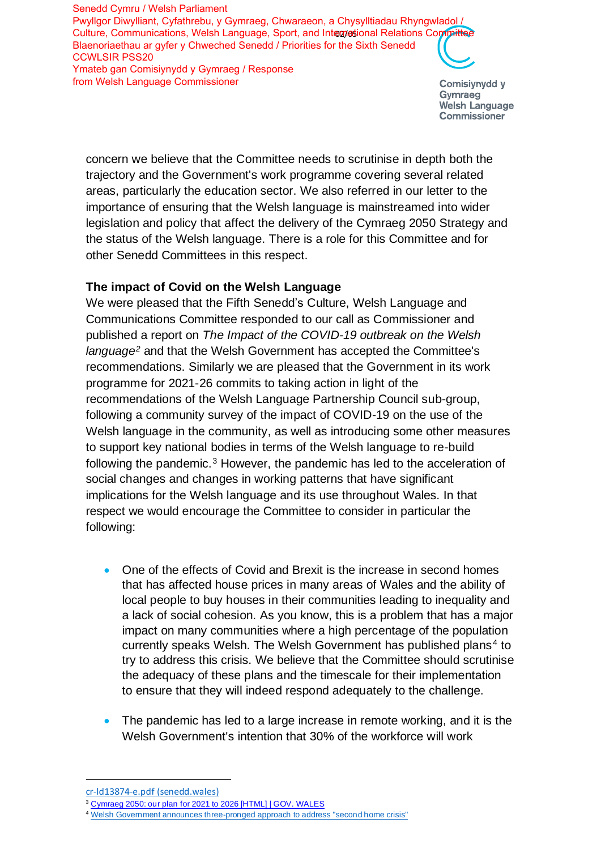Culture, Communications, Welsh Language, Sport, and Intogyostional Relations Committee Senedd Cymru / Welsh Parliament Pwyllgor Diwylliant, Cyfathrebu, y Gymraeg, Chwaraeon, a Chysylltiadau Rhyngwladol / Blaenoriaethau ar gyfer y Chweched Senedd / Priorities for the Sixth Senedd CCWLSIR PSS20 Ymateb gan Comisiynydd y Gymraeg / Response from Welsh Language Commissioner

Comisiynydd y Gymraeg **Welsh Language** Commissioner

concern we believe that the Committee needs to scrutinise in depth both the trajectory and the Government's work programme covering several related areas, particularly the education sector. We also referred in our letter to the importance of ensuring that the Welsh language is mainstreamed into wider legislation and policy that affect the delivery of the Cymraeg 2050 Strategy and the status of the Welsh language. There is a role for this Committee and for other Senedd Committees in this respect.

## **The impact of Covid on the Welsh Language**

We were pleased that the Fifth Senedd's Culture, Welsh Language and Communications Committee responded to our call as Commissioner and published a report on *The Impact of the COVID-19 outbreak on the Welsh language<sup>2</sup>* and that the Welsh Government has accepted the Committee's recommendations. Similarly we are pleased that the Government in its work programme for 2021-26 commits to taking action in light of the recommendations of the Welsh Language Partnership Council sub-group, following a community survey of the impact of COVID-19 on the use of the Welsh language in the community, as well as introducing some other measures to support key national bodies in terms of the Welsh language to re-build following the pandemic.<sup>3</sup> However, the pandemic has led to the acceleration of social changes and changes in working patterns that have significant implications for the Welsh language and its use throughout Wales. In that respect we would encourage the Committee to consider in particular the following:

- One of the effects of Covid and Brexit is the increase in second homes that has affected house prices in many areas of Wales and the ability of local people to buy houses in their communities leading to inequality and a lack of social cohesion. As you know, this is a problem that has a major impact on many communities where a high percentage of the population currently speaks Welsh. The Welsh Government has published plans<sup>4</sup> to try to address this crisis. We believe that the Committee should scrutinise the adequacy of these plans and the timescale for their implementation to ensure that they will indeed respond adequately to the challenge.
- The pandemic has led to a large increase in remote working, and it is the Welsh Government's intention that 30% of the workforce will work

[cr-ld13874-e.pdf \(senedd.wales\)](https://senedd.wales/laid%20documents/cr-ld13874/cr-ld13874-e.pdf)

<sup>&</sup>lt;sup>3</sup> Cymraeg [2050: our plan for 2021 to 2026 \[HTML\] | GOV. WALES](https://gov.wales/cymraeg-2050-our-plan-2021-2026-html?_ga=2.260005442.97186200.1630415050-236307454.1617712661#section-75207)

<sup>&</sup>lt;sup>4</sup> [Welsh Government announces three-pronged](https://media.service.gov.wales/news/welsh-government-announces-three-pronged-approach-to-address-second-homes-crisis) approach to address "second home crisis"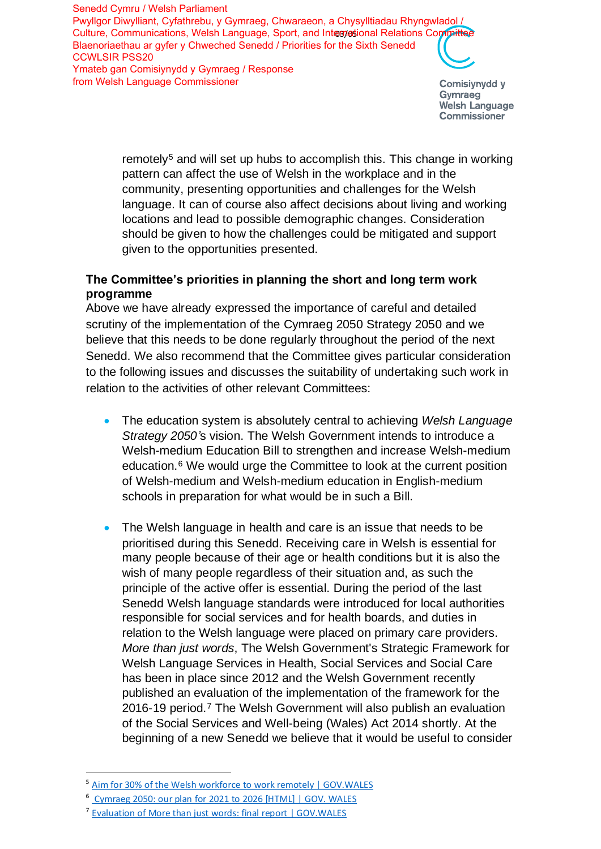Culture, Communications, Welsh Language, Sport, and Intogyostional Relations Committee Senedd Cymru / Welsh Parliament Pwyllgor Diwylliant, Cyfathrebu, y Gymraeg, Chwaraeon, a Chysylltiadau Rhyngwladol / Blaenoriaethau ar gyfer y Chweched Senedd / Priorities for the Sixth Senedd CCWLSIR PSS20 Ymateb gan Comisiynydd y Gymraeg / Response from Welsh Language Commissioner

Comisiynydd y Gymraeg **Welsh Language** Commissioner

remotely<sup>5</sup> and will set up hubs to accomplish this. This change in working pattern can affect the use of Welsh in the workplace and in the community, presenting opportunities and challenges for the Welsh language. It can of course also affect decisions about living and working locations and lead to possible demographic changes. Consideration should be given to how the challenges could be mitigated and support given to the opportunities presented.

## **The Committee's priorities in planning the short and long term work programme**

Above we have already expressed the importance of careful and detailed scrutiny of the implementation of the Cymraeg 2050 Strategy 2050 and we believe that this needs to be done regularly throughout the period of the next Senedd. We also recommend that the Committee gives particular consideration to the following issues and discusses the suitability of undertaking such work in relation to the activities of other relevant Committees:

- The education system is absolutely central to achieving *Welsh Language Strategy 2050'*s vision. The Welsh Government intends to introduce a Welsh-medium Education Bill to strengthen and increase Welsh-medium education.<sup>6</sup> We would urge the Committee to look at the current position of Welsh-medium and Welsh-medium education in English-medium schools in preparation for what would be in such a Bill.
- The Welsh language in health and care is an issue that needs to be prioritised during this Senedd. Receiving care in Welsh is essential for many people because of their age or health conditions but it is also the wish of many people regardless of their situation and, as such the principle of the active offer is essential. During the period of the last Senedd Welsh language standards were introduced for local authorities responsible for social services and for health boards, and duties in relation to the Welsh language were placed on primary care providers. *More than just words*, The Welsh Government's Strategic Framework for Welsh Language Services in Health, Social Services and Social Care has been in place since 2012 and the Welsh Government recently published an evaluation of the implementation of the framework for the 2016-19 period.<sup>7</sup> The Welsh Government will also publish an evaluation of the Social Services and Well-being (Wales) Act 2014 shortly. At the beginning of a new Senedd we believe that it would be useful to consider

<sup>&</sup>lt;sup>5</sup> [Aim for 30% of the Welsh workforce to work remotely | GOV.WALES](https://gov.wales/aim-30-welsh-workforce-work-remotely#:~:text=Aim%20for%2030%25%20of%20the%20Welsh%20workforce%20to,home%2C%20including%20after%20the%20threat%20of%20Covid-19%20lessens.)

<sup>6</sup> [Cymraeg 2050: our plan for 2021 to 2026 \[HTML\] | GOV. WALES](https://gov.wales/cymraeg-2050-our-plan-2021-2026-html?_ga=2.102201033.97186200.1630415050-236307454.1617712661)

<sup>&</sup>lt;sup>7</sup> [Evaluation of More than just words: final report | GOV.WALES](https://gov.wales/evaluation-more-just-words-final-report?_ga=2.54776366.40734702.1630405685-1154849660.1621932176)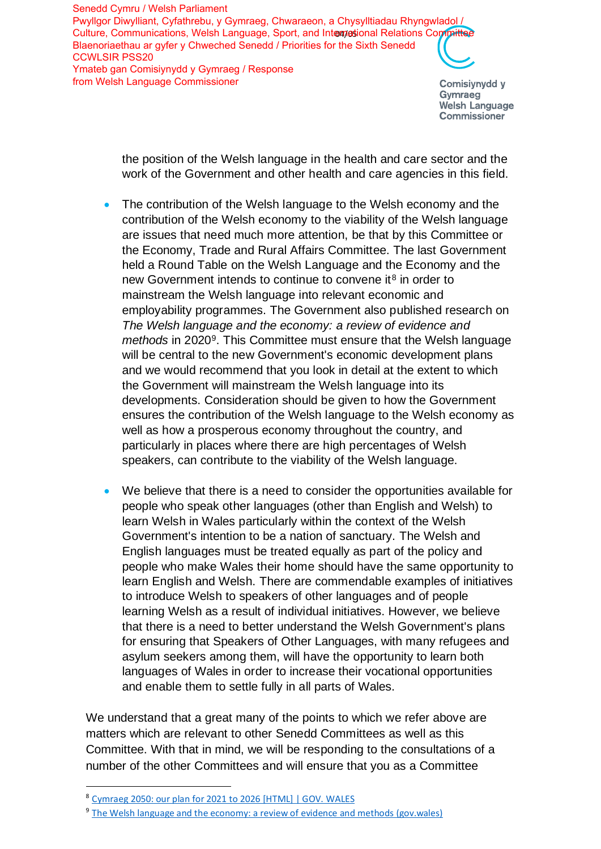Culture, Communications, Welsh Language, Sport, and Interpretional Relations Committee Senedd Cymru / Welsh Parliament Pwyllgor Diwylliant, Cyfathrebu, y Gymraeg, Chwaraeon, a Chysylltiadau Rhyngwladol / Blaenoriaethau ar gyfer y Chweched Senedd / Priorities for the Sixth Senedd CCWLSIR PSS20 Ymateb gan Comisiynydd y Gymraeg / Response from Welsh Language Commissioner

Comisiynydd y Gymraeg **Welsh Language** Commissioner

the position of the Welsh language in the health and care sector and the work of the Government and other health and care agencies in this field.

- The contribution of the Welsh language to the Welsh economy and the contribution of the Welsh economy to the viability of the Welsh language are issues that need much more attention, be that by this Committee or the Economy, Trade and Rural Affairs Committee. The last Government held a Round Table on the Welsh Language and the Economy and the new Government intends to continue to convene it<sup>8</sup> in order to mainstream the Welsh language into relevant economic and employability programmes. The Government also published research on *The Welsh language and the economy: a review of evidence and* methods in 2020<sup>9</sup>. This Committee must ensure that the Welsh language will be central to the new Government's economic development plans and we would recommend that you look in detail at the extent to which the Government will mainstream the Welsh language into its developments. Consideration should be given to how the Government ensures the contribution of the Welsh language to the Welsh economy as well as how a prosperous economy throughout the country, and particularly in places where there are high percentages of Welsh speakers, can contribute to the viability of the Welsh language.
- We believe that there is a need to consider the opportunities available for people who speak other languages (other than English and Welsh) to learn Welsh in Wales particularly within the context of the Welsh Government's intention to be a nation of sanctuary. The Welsh and English languages must be treated equally as part of the policy and people who make Wales their home should have the same opportunity to learn English and Welsh. There are commendable examples of initiatives to introduce Welsh to speakers of other languages and of people learning Welsh as a result of individual initiatives. However, we believe that there is a need to better understand the Welsh Government's plans for ensuring that Speakers of Other Languages, with many refugees and asylum seekers among them, will have the opportunity to learn both languages of Wales in order to increase their vocational opportunities and enable them to settle fully in all parts of Wales.

We understand that a great many of the points to which we refer above are matters which are relevant to other Senedd Committees as well as this Committee. With that in mind, we will be responding to the consultations of a number of the other Committees and will ensure that you as a Committee

<sup>8</sup> Cymraeg [2050: our plan for 2021 to 2026 \[HTML\] | GOV. WALES](https://gov.wales/cymraeg-2050-our-plan-2021-2026-html?_ga=2.35149417.97186200.1630415050-236307454.1617712661#section-75207)

<sup>&</sup>lt;sup>9</sup> [The Welsh language and the economy: a review of evidence and methods \(gov.wales\)](https://gov.wales/sites/default/files/statistics-and-research/2020-02/the-welsh-language-and-the-economy-a-review-of-evidence-and-methods.pdf)